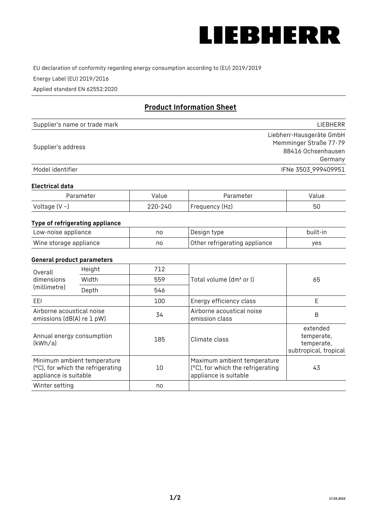

EU declaration of conformity regarding energy consumption according to (EU) 2019/2019

Energy Label (EU) 2019/2016

Applied standard EN 62552:2020

# **Product Information Sheet**

| Supplier's name or trade mark | <b>LIFBHFRR</b>          |
|-------------------------------|--------------------------|
|                               | Liebherr-Hausgeräte GmbH |
| Supplier's address            | Memminger Straße 77-79   |
|                               | 88416 Ochsenhausen       |
|                               | Germany                  |
| Model identifier              | IFNe 3503_999409951      |

## **Electrical data**

| Parameter     | Value   | Parameter      | Value |
|---------------|---------|----------------|-------|
| Voltage (V ~) | 220-240 | Frequency (Hz) | 50    |

## **Type of refrigerating appliance**

| Low-noise appliance    | no | Design type                   | built-in |
|------------------------|----|-------------------------------|----------|
| Wine storage appliance | nc | Other refrigerating appliance | ves      |

## **General product parameters**

| Overall<br>dimensions<br>(millimetre)                  | Height                                                           | 712 |                                                                                           | 65                                                            |
|--------------------------------------------------------|------------------------------------------------------------------|-----|-------------------------------------------------------------------------------------------|---------------------------------------------------------------|
|                                                        | Width                                                            | 559 | Total volume (dm <sup>3</sup> or l)                                                       |                                                               |
|                                                        | Depth                                                            | 546 |                                                                                           |                                                               |
| EEL                                                    |                                                                  | 100 | Energy efficiency class                                                                   | E                                                             |
| Airborne acoustical noise<br>emissions (dB(A) re 1 pW) |                                                                  | 34  | Airborne acoustical noise<br>emission class                                               | B                                                             |
| Annual energy consumption<br>(kWh/a)                   |                                                                  | 185 | Climate class                                                                             | extended<br>temperate,<br>temperate,<br>subtropical, tropical |
| appliance is suitable                                  | Minimum ambient temperature<br>(°C), for which the refrigerating | 10  | Maximum ambient temperature<br>(°C), for which the refrigerating<br>appliance is suitable | 43                                                            |
| Winter setting                                         |                                                                  | no  |                                                                                           |                                                               |